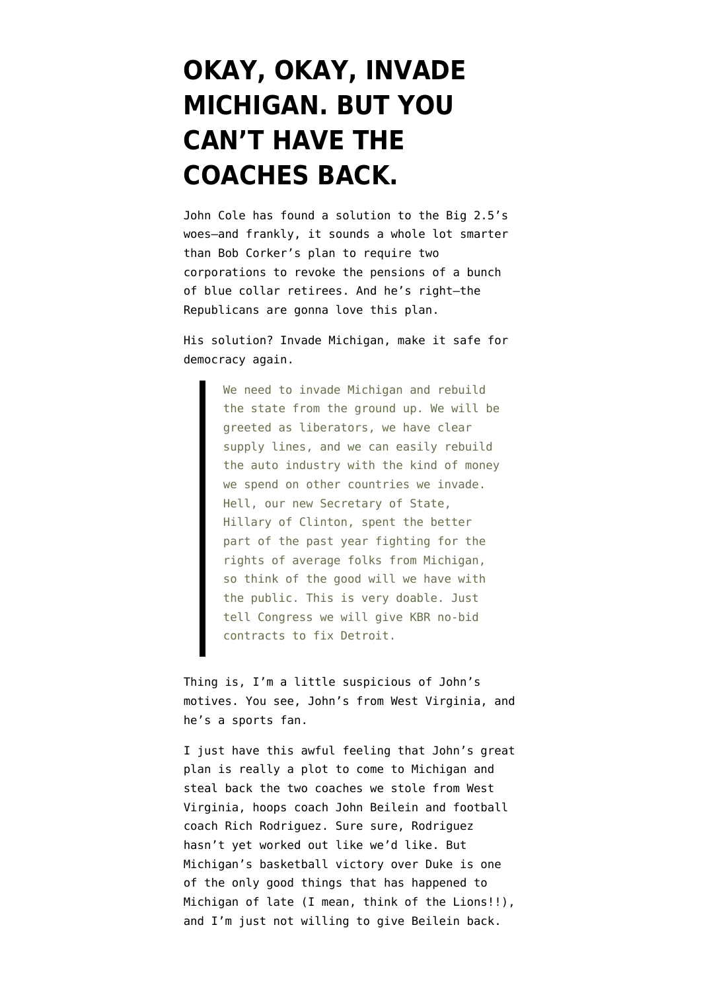## **[OKAY, OKAY, INVADE](https://www.emptywheel.net/2008/12/12/okay-okay-invade-michigan-but-you-cant-have-the-coaches-back/) [MICHIGAN. BUT YOU](https://www.emptywheel.net/2008/12/12/okay-okay-invade-michigan-but-you-cant-have-the-coaches-back/) [CAN'T HAVE THE](https://www.emptywheel.net/2008/12/12/okay-okay-invade-michigan-but-you-cant-have-the-coaches-back/) [COACHES BACK.](https://www.emptywheel.net/2008/12/12/okay-okay-invade-michigan-but-you-cant-have-the-coaches-back/)**

John Cole has found a solution to the Big 2.5's woes–and frankly, it sounds a whole lot smarter than Bob Corker's plan to require two corporations to revoke the pensions of a bunch of blue collar retirees. And he's right–the Republicans are gonna love this plan.

His solution? [Invade Michigan](http://www.balloon-juice.com/?p=14583), make it safe for democracy again.

> We need to invade Michigan and rebuild the state from the ground up. We will be greeted as liberators, we have clear supply lines, and we can easily rebuild the auto industry with the kind of money we spend on other countries we invade. Hell, our new Secretary of State, Hillary of Clinton, spent the better part of the past year fighting for the rights of average folks from Michigan, so think of the good will we have with the public. This is very doable. Just tell Congress we will give KBR no-bid contracts to fix Detroit.

Thing is, I'm a little suspicious of John's motives. You see, John's from West Virginia, and he's a sports fan.

I just have this awful feeling that John's great plan is really a plot to come to Michigan and steal back the two coaches we stole from West Virginia, hoops coach [John Beilein](http://www.mgoblue.com/basketball-m/coachbio.aspx?id=28782) and football coach [Rich Rodriguez](http://www.mgoblue.com/football/coachbio.aspx?id=42166). Sure sure, Rodriguez hasn't yet worked out like we'd like. But Michigan's basketball victory over Duke is one of the only good things that has happened to Michigan of late (I mean, think of the Lions!!), and I'm just not willing to give Beilein back.